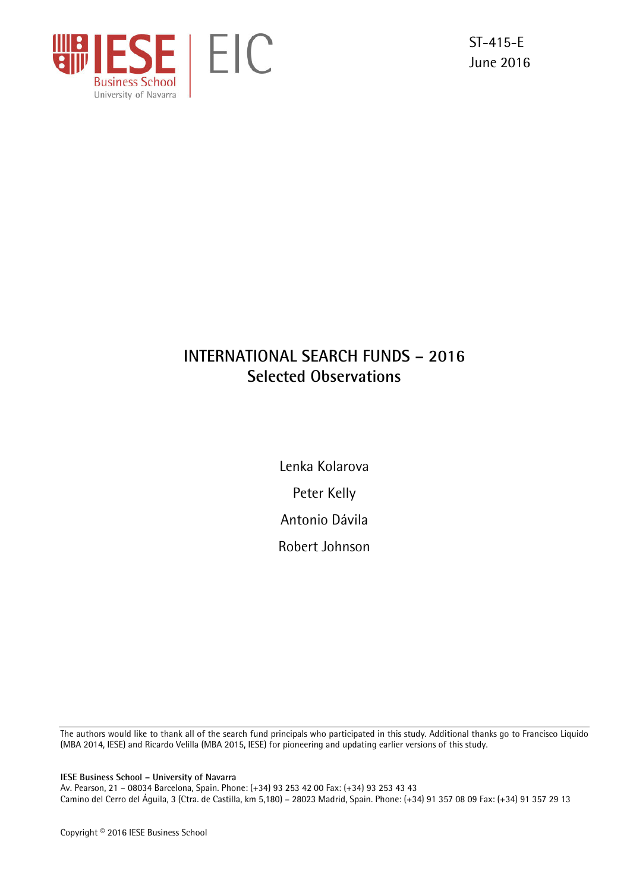

ST-415-E June 2016

# **INTERNATIONAL SEARCH FUNDS – 2016 Selected Observations**

Lenka Kolarova Peter Kelly Antonio Dávila Robert Johnson

The authors would like to thank all of the search fund principals who participated in this study. Additional thanks go to Francisco Liquido (MBA 2014, IESE) and Ricardo Velilla (MBA 2015, IESE) for pioneering and updating earlier versions of this study.

**IESE Business School – University of Navarra** 

Av. Pearson, 21 – 08034 Barcelona, Spain. Phone: (+34) 93 253 42 00 Fax: (+34) 93 253 43 43 Camino del Cerro del Águila, 3 (Ctra. de Castilla, km 5,180) – 28023 Madrid, Spain. Phone: (+34) 91 357 08 09 Fax: (+34) 91 357 29 13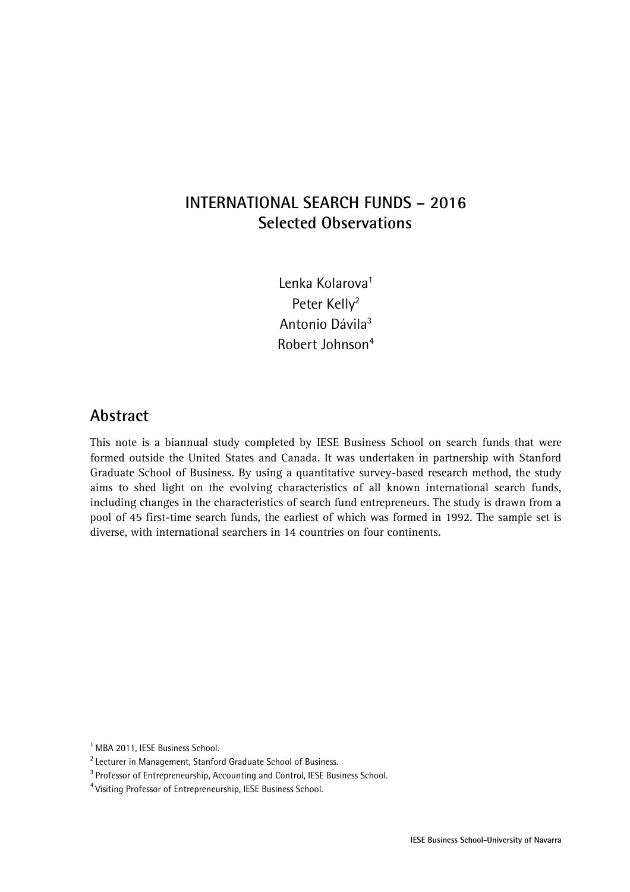## **INTERNATIONAL SEARCH FUNDS – 2016 Selected Observations**

Lenka Kolarova<sup>1</sup> Peter Kelly<sup>2</sup> Antonio Dávila3 Robert Johnson4

### **Abstract**

This note is a biannual study completed by IESE Business School on search funds that were formed outside the United States and Canada. It was undertaken in partnership with Stanford Graduate School of Business. By using a quantitative survey-based research method, the study aims to shed light on the evolving characteristics of all known international search funds, including changes in the characteristics of search fund entrepreneurs. The study is drawn from a pool of 45 first-time search funds, the earliest of which was formed in 1992. The sample set is diverse, with international searchers in 14 countries on four continents.

<sup>1</sup> MBA 2011, IESE Business School.

<sup>&</sup>lt;sup>2</sup> Lecturer in Management, Stanford Graduate School of Business.<br><sup>3</sup> Professor of Entrepreneurship, Accounting and Control, IESE Business School.

<sup>4</sup> Visiting Professor of Entrepreneurship, IESE Business School.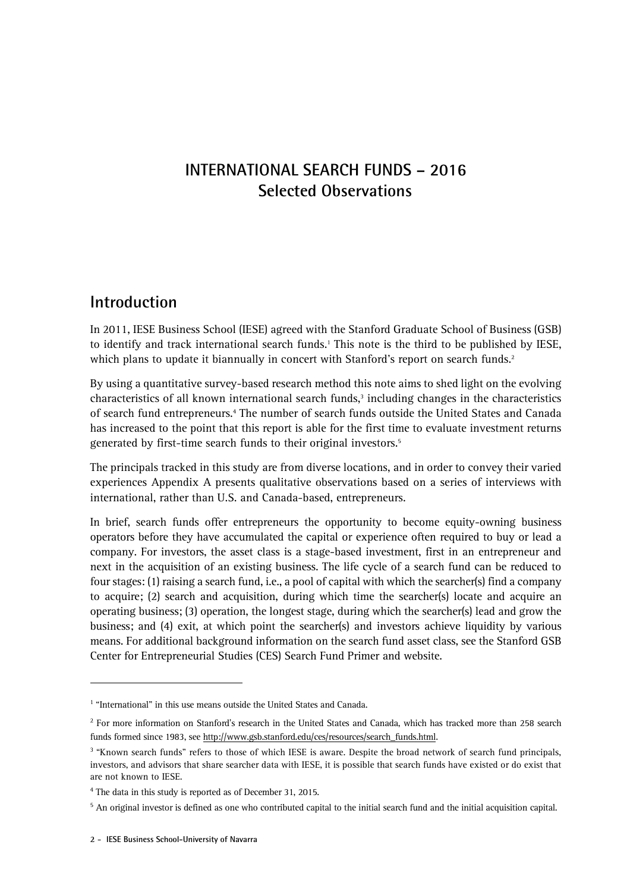## **INTERNATIONAL SEARCH FUNDS – 2016 Selected Observations**

## **Introduction**

In 2011, IESE Business School (IESE) agreed with the Stanford Graduate School of Business (GSB) to identify and track international search funds.<sup>1</sup> This note is the third to be published by IESE, which plans to update it biannually in concert with Stanford's report on search funds.<sup>2</sup>

By using a quantitative survey-based research method this note aims to shed light on the evolving characteristics of all known international search funds,<sup>3</sup> including changes in the characteristics of search fund entrepreneurs.<sup>4</sup> The number of search funds outside the United States and Canada has increased to the point that this report is able for the first time to evaluate investment returns generated by first-time search funds to their original investors.<sup>5</sup>

The principals tracked in this study are from diverse locations, and in order to convey their varied experiences Appendix A presents qualitative observations based on a series of interviews with international, rather than U.S. and Canada-based, entrepreneurs.

In brief, search funds offer entrepreneurs the opportunity to become equity-owning business operators before they have accumulated the capital or experience often required to buy or lead a company. For investors, the asset class is a stage-based investment, first in an entrepreneur and next in the acquisition of an existing business. The life cycle of a search fund can be reduced to four stages: (1) raising a search fund, i.e., a pool of capital with which the searcher(s) find a company to acquire; (2) search and acquisition, during which time the searcher(s) locate and acquire an operating business; (3) operation, the longest stage, during which the searcher(s) lead and grow the business; and (4) exit, at which point the searcher(s) and investors achieve liquidity by various means. For additional background information on the search fund asset class, see the Stanford GSB Center for Entrepreneurial Studies (CES) Search Fund Primer and website.

 $\overline{a}$ 

<sup>&</sup>lt;sup>1</sup> "International" in this use means outside the United States and Canada.

<sup>&</sup>lt;sup>2</sup> For more information on Stanford's research in the United States and Canada, which has tracked more than 258 search funds formed since 1983, see http://www.gsb.stanford.edu/ces/resources/search\_funds.html.

<sup>&</sup>lt;sup>3</sup> "Known search funds" refers to those of which IESE is aware. Despite the broad network of search fund principals, investors, and advisors that share searcher data with IESE, it is possible that search funds have existed or do exist that are not known to IESE.

<sup>&</sup>lt;sup>4</sup> The data in this study is reported as of December 31, 2015.

<sup>&</sup>lt;sup>5</sup> An original investor is defined as one who contributed capital to the initial search fund and the initial acquisition capital.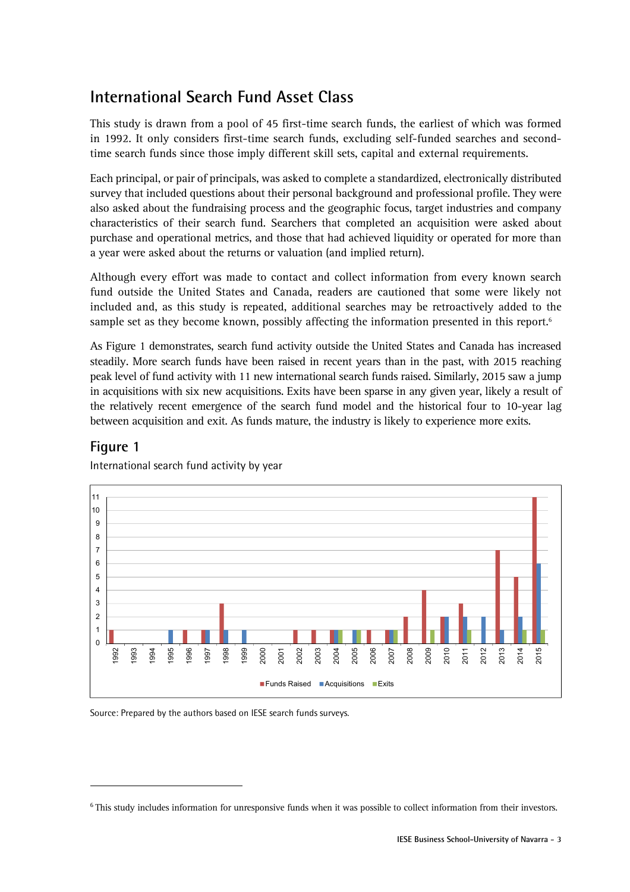# **International Search Fund Asset Class**

This study is drawn from a pool of 45 first-time search funds, the earliest of which was formed in 1992. It only considers first-time search funds, excluding self-funded searches and secondtime search funds since those imply different skill sets, capital and external requirements.

Each principal, or pair of principals, was asked to complete a standardized, electronically distributed survey that included questions about their personal background and professional profile. They were also asked about the fundraising process and the geographic focus, target industries and company characteristics of their search fund. Searchers that completed an acquisition were asked about purchase and operational metrics, and those that had achieved liquidity or operated for more than a year were asked about the returns or valuation (and implied return).

Although every effort was made to contact and collect information from every known search fund outside the United States and Canada, readers are cautioned that some were likely not included and, as this study is repeated, additional searches may be retroactively added to the sample set as they become known, possibly affecting the information presented in this report.<sup>6</sup>

As Figure 1 demonstrates, search fund activity outside the United States and Canada has increased steadily. More search funds have been raised in recent years than in the past, with 2015 reaching peak level of fund activity with 11 new international search funds raised. Similarly, 2015 saw a jump in acquisitions with six new acquisitions. Exits have been sparse in any given year, likely a result of the relatively recent emergence of the search fund model and the historical four to 10-year lag between acquisition and exit. As funds mature, the industry is likely to experience more exits.

#### **Figure 1**

 $\overline{a}$ 



International search fund activity by year

<sup>&</sup>lt;sup>6</sup> This study includes information for unresponsive funds when it was possible to collect information from their investors.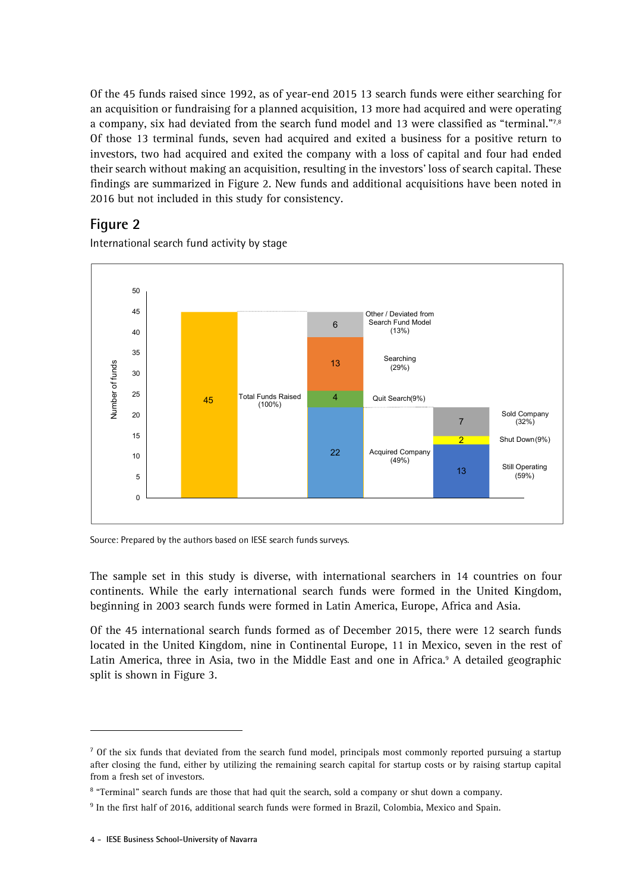Of the 45 funds raised since 1992, as of year-end 2015 13 search funds were either searching for an acquisition or fundraising for a planned acquisition, 13 more had acquired and were operating a company, six had deviated from the search fund model and 13 were classified as "terminal."7,<sup>8</sup> Of those 13 terminal funds, seven had acquired and exited a business for a positive return to investors, two had acquired and exited the company with a loss of capital and four had ended their search without making an acquisition, resulting in the investors' loss of search capital. These findings are summarized in Figure 2. New funds and additional acquisitions have been noted in 2016 but not included in this study for consistency.

### **Figure 2**

International search fund activity by stage



Source: Prepared by the authors based on IESE search funds surveys.

The sample set in this study is diverse, with international searchers in 14 countries on four continents. While the early international search funds were formed in the United Kingdom, beginning in 2003 search funds were formed in Latin America, Europe, Africa and Asia.

Of the 45 international search funds formed as of December 2015, there were 12 search funds located in the United Kingdom, nine in Continental Europe, 11 in Mexico, seven in the rest of Latin America, three in Asia, two in the Middle East and one in Africa.<sup>9</sup> A detailed geographic split is shown in Figure 3.

-

<sup>&</sup>lt;sup>7</sup> Of the six funds that deviated from the search fund model, principals most commonly reported pursuing a startup after closing the fund, either by utilizing the remaining search capital for startup costs or by raising startup capital from a fresh set of investors.

<sup>&</sup>lt;sup>8</sup> "Terminal" search funds are those that had quit the search, sold a company or shut down a company.

<sup>&</sup>lt;sup>9</sup> In the first half of 2016, additional search funds were formed in Brazil, Colombia, Mexico and Spain.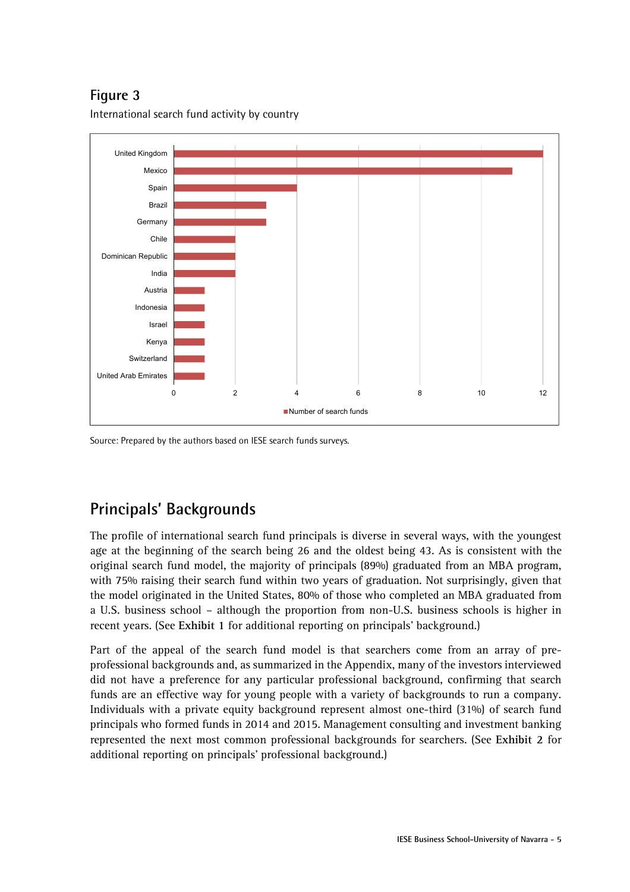# **Figure 3**

International search fund activity by country



Source: Prepared by the authors based on IESE search funds surveys.

# **Principals' Backgrounds**

The profile of international search fund principals is diverse in several ways, with the youngest age at the beginning of the search being 26 and the oldest being 43. As is consistent with the original search fund model, the majority of principals (89%) graduated from an MBA program, with 75% raising their search fund within two years of graduation. Not surprisingly, given that the model originated in the United States, 80% of those who completed an MBA graduated from a U.S. business school – although the proportion from non-U.S. business schools is higher in recent years. (See **Exhibit 1** for additional reporting on principals' background.)

Part of the appeal of the search fund model is that searchers come from an array of preprofessional backgrounds and, as summarized in the Appendix, many of the investors interviewed did not have a preference for any particular professional background, confirming that search funds are an effective way for young people with a variety of backgrounds to run a company. Individuals with a private equity background represent almost one-third (31%) of search fund principals who formed funds in 2014 and 2015. Management consulting and investment banking represented the next most common professional backgrounds for searchers. (See **Exhibit 2** for additional reporting on principals' professional background.)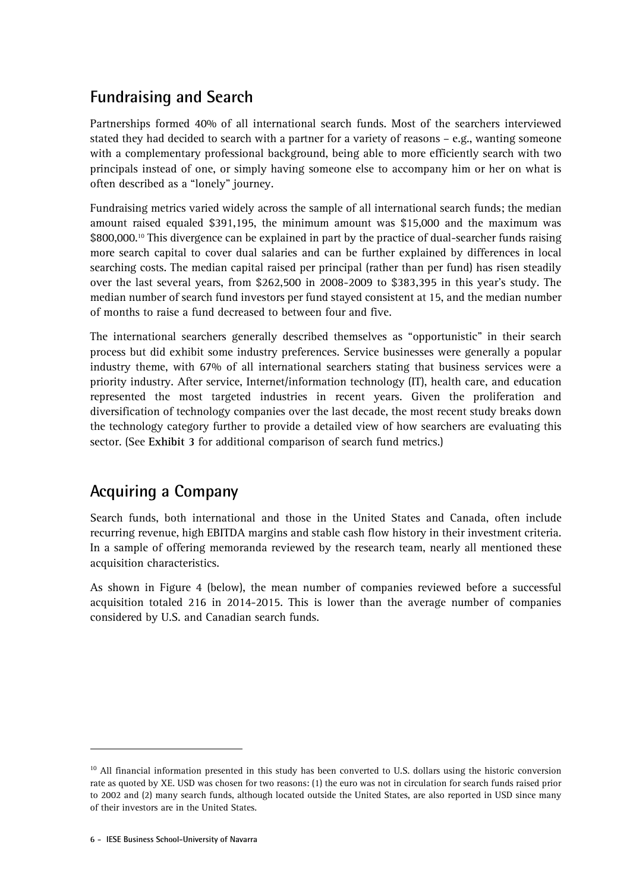# **Fundraising and Search**

Partnerships formed 40% of all international search funds. Most of the searchers interviewed stated they had decided to search with a partner for a variety of reasons – e.g., wanting someone with a complementary professional background, being able to more efficiently search with two principals instead of one, or simply having someone else to accompany him or her on what is often described as a "lonely" journey.

Fundraising metrics varied widely across the sample of all international search funds; the median amount raised equaled \$391,195, the minimum amount was \$15,000 and the maximum was \$800,000.<sup>10</sup> This divergence can be explained in part by the practice of dual-searcher funds raising more search capital to cover dual salaries and can be further explained by differences in local searching costs. The median capital raised per principal (rather than per fund) has risen steadily over the last several years, from \$262,500 in 2008-2009 to \$383,395 in this year's study. The median number of search fund investors per fund stayed consistent at 15, and the median number of months to raise a fund decreased to between four and five.

The international searchers generally described themselves as "opportunistic" in their search process but did exhibit some industry preferences. Service businesses were generally a popular industry theme, with 67% of all international searchers stating that business services were a priority industry. After service, Internet/information technology (IT), health care, and education represented the most targeted industries in recent years. Given the proliferation and diversification of technology companies over the last decade, the most recent study breaks down the technology category further to provide a detailed view of how searchers are evaluating this sector. (See **Exhibit 3** for additional comparison of search fund metrics.)

## **Acquiring a Company**

Search funds, both international and those in the United States and Canada, often include recurring revenue, high EBITDA margins and stable cash flow history in their investment criteria. In a sample of offering memoranda reviewed by the research team, nearly all mentioned these acquisition characteristics.

As shown in Figure 4 (below), the mean number of companies reviewed before a successful acquisition totaled 216 in 2014-2015. This is lower than the average number of companies considered by U.S. and Canadian search funds.

 $\overline{a}$ 

<sup>&</sup>lt;sup>10</sup> All financial information presented in this study has been converted to U.S. dollars using the historic conversion rate as quoted by XE. USD was chosen for two reasons: (1) the euro was not in circulation for search funds raised prior to 2002 and (2) many search funds, although located outside the United States, are also reported in USD since many of their investors are in the United States.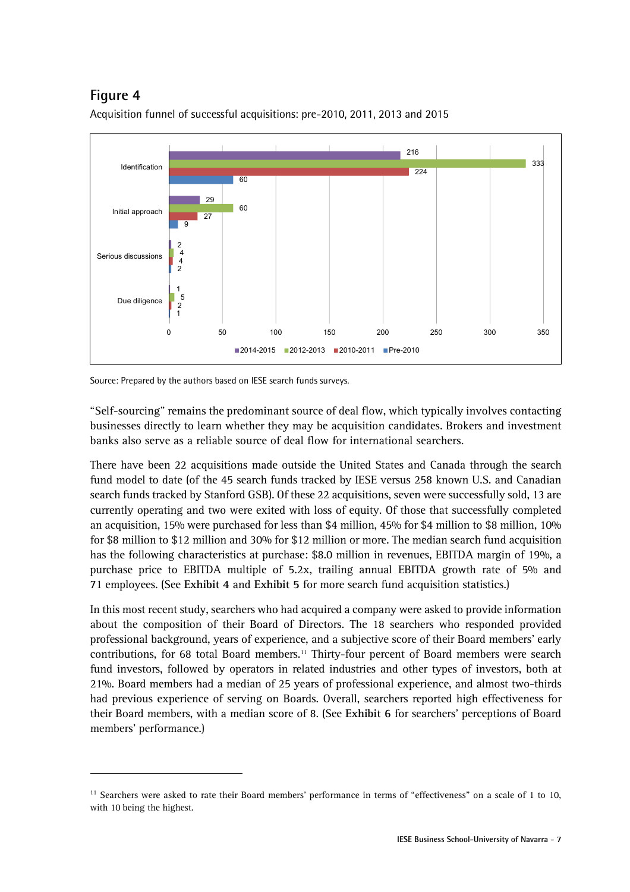## **Figure 4**

j



Acquisition funnel of successful acquisitions: pre-2010, 2011, 2013 and 2015

"Self-sourcing" remains the predominant source of deal flow, which typically involves contacting businesses directly to learn whether they may be acquisition candidates. Brokers and investment banks also serve as a reliable source of deal flow for international searchers.

There have been 22 acquisitions made outside the United States and Canada through the search fund model to date (of the 45 search funds tracked by IESE versus 258 known U.S. and Canadian search funds tracked by Stanford GSB). Of these 22 acquisitions, seven were successfully sold, 13 are currently operating and two were exited with loss of equity. Of those that successfully completed an acquisition, 15% were purchased for less than \$4 million, 45% for \$4 million to \$8 million, 10% for \$8 million to \$12 million and 30% for \$12 million or more. The median search fund acquisition has the following characteristics at purchase: \$8.0 million in revenues, EBITDA margin of 19%, a purchase price to EBITDA multiple of 5.2x, trailing annual EBITDA growth rate of 5% and 71 employees. (See **Exhibit 4** and **Exhibit 5** for more search fund acquisition statistics.)

In this most recent study, searchers who had acquired a company were asked to provide information about the composition of their Board of Directors. The 18 searchers who responded provided professional background, years of experience, and a subjective score of their Board members' early contributions, for 68 total Board members.<sup>11</sup> Thirty-four percent of Board members were search fund investors, followed by operators in related industries and other types of investors, both at 21%. Board members had a median of 25 years of professional experience, and almost two-thirds had previous experience of serving on Boards. Overall, searchers reported high effectiveness for their Board members, with a median score of 8. (See **Exhibit 6** for searchers' perceptions of Board members' performance.)

Source: Prepared by the authors based on IESE search funds surveys.

<sup>&</sup>lt;sup>11</sup> Searchers were asked to rate their Board members' performance in terms of "effectiveness" on a scale of 1 to 10, with 10 being the highest.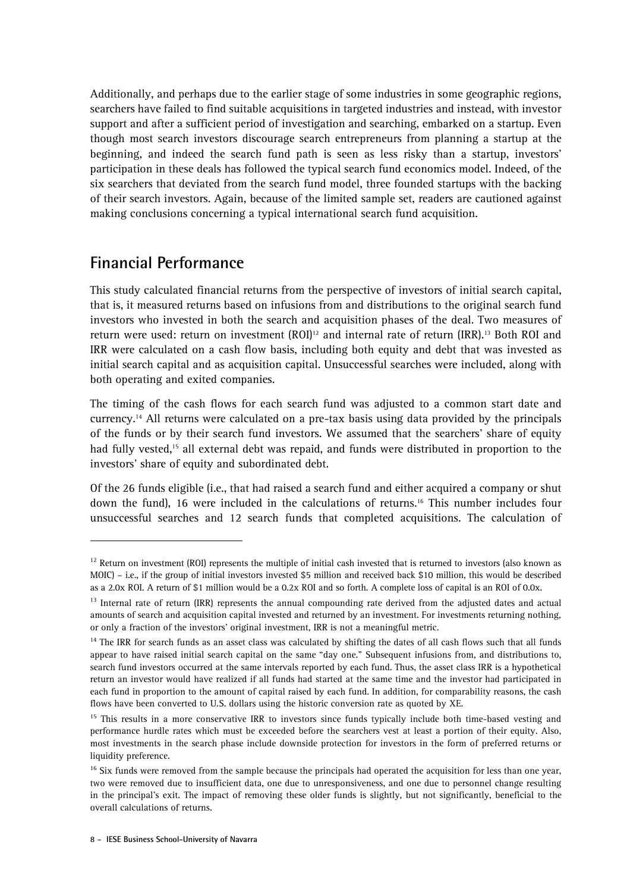Additionally, and perhaps due to the earlier stage of some industries in some geographic regions, searchers have failed to find suitable acquisitions in targeted industries and instead, with investor support and after a sufficient period of investigation and searching, embarked on a startup. Even though most search investors discourage search entrepreneurs from planning a startup at the beginning, and indeed the search fund path is seen as less risky than a startup, investors' participation in these deals has followed the typical search fund economics model. Indeed, of the six searchers that deviated from the search fund model, three founded startups with the backing of their search investors. Again, because of the limited sample set, readers are cautioned against making conclusions concerning a typical international search fund acquisition.

## **Financial Performance**

 $\overline{a}$ 

This study calculated financial returns from the perspective of investors of initial search capital, that is, it measured returns based on infusions from and distributions to the original search fund investors who invested in both the search and acquisition phases of the deal. Two measures of return were used: return on investment (ROI)<sup>12</sup> and internal rate of return (IRR).<sup>13</sup> Both ROI and IRR were calculated on a cash flow basis, including both equity and debt that was invested as initial search capital and as acquisition capital. Unsuccessful searches were included, along with both operating and exited companies.

The timing of the cash flows for each search fund was adjusted to a common start date and currency.14 All returns were calculated on a pre-tax basis using data provided by the principals of the funds or by their search fund investors. We assumed that the searchers' share of equity had fully vested,<sup>15</sup> all external debt was repaid, and funds were distributed in proportion to the investors' share of equity and subordinated debt.

Of the 26 funds eligible (i.e., that had raised a search fund and either acquired a company or shut down the fund), 16 were included in the calculations of returns.16 This number includes four unsuccessful searches and 12 search funds that completed acquisitions. The calculation of

 $12$  Return on investment (ROI) represents the multiple of initial cash invested that is returned to investors (also known as MOIC) – i.e., if the group of initial investors invested \$5 million and received back \$10 million, this would be described as a 2.0x ROI. A return of \$1 million would be a 0.2x ROI and so forth. A complete loss of capital is an ROI of 0.0x.

 $13$  Internal rate of return (IRR) represents the annual compounding rate derived from the adjusted dates and actual amounts of search and acquisition capital invested and returned by an investment. For investments returning nothing, or only a fraction of the investors' original investment, IRR is not a meaningful metric.

<sup>&</sup>lt;sup>14</sup> The IRR for search funds as an asset class was calculated by shifting the dates of all cash flows such that all funds appear to have raised initial search capital on the same "day one." Subsequent infusions from, and distributions to, search fund investors occurred at the same intervals reported by each fund. Thus, the asset class IRR is a hypothetical return an investor would have realized if all funds had started at the same time and the investor had participated in each fund in proportion to the amount of capital raised by each fund. In addition, for comparability reasons, the cash flows have been converted to U.S. dollars using the historic conversion rate as quoted by XE.

<sup>&</sup>lt;sup>15</sup> This results in a more conservative IRR to investors since funds typically include both time-based vesting and performance hurdle rates which must be exceeded before the searchers vest at least a portion of their equity. Also, most investments in the search phase include downside protection for investors in the form of preferred returns or liquidity preference.

<sup>&</sup>lt;sup>16</sup> Six funds were removed from the sample because the principals had operated the acquisition for less than one year, two were removed due to insufficient data, one due to unresponsiveness, and one due to personnel change resulting in the principal's exit. The impact of removing these older funds is slightly, but not significantly, beneficial to the overall calculations of returns.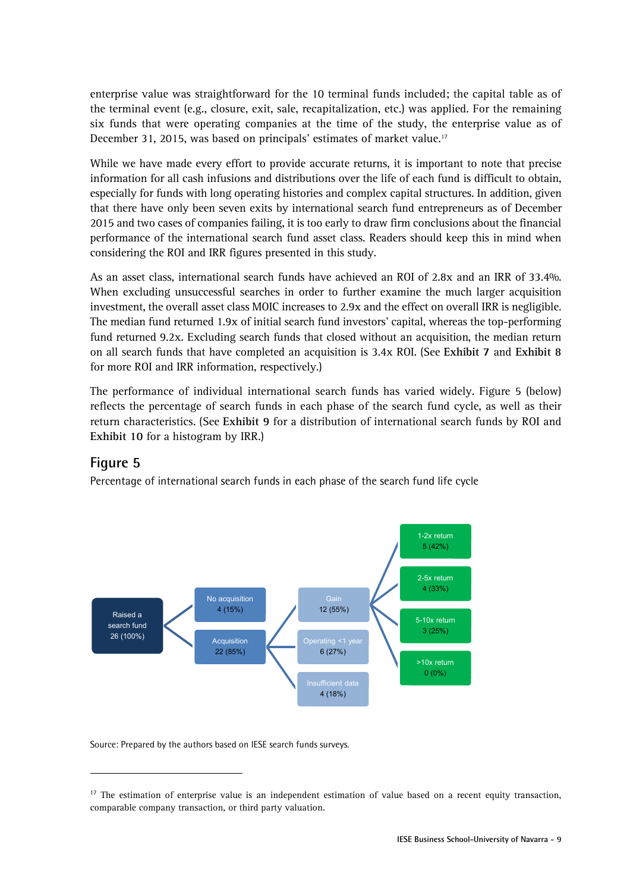enterprise value was straightforward for the 10 terminal funds included; the capital table as of the terminal event (e.g., closure, exit, sale, recapitalization, etc.) was applied. For the remaining six funds that were operating companies at the time of the study, the enterprise value as of December 31, 2015, was based on principals' estimates of market value.<sup>17</sup>

While we have made every effort to provide accurate returns, it is important to note that precise information for all cash infusions and distributions over the life of each fund is difficult to obtain, especially for funds with long operating histories and complex capital structures. In addition, given that there have only been seven exits by international search fund entrepreneurs as of December 2015 and two cases of companies failing, it is too early to draw firm conclusions about the financial performance of the international search fund asset class. Readers should keep this in mind when considering the ROI and IRR figures presented in this study.

As an asset class, international search funds have achieved an ROI of 2.8x and an IRR of 33.4%. When excluding unsuccessful searches in order to further examine the much larger acquisition investment, the overall asset class MOIC increases to 2.9x and the effect on overall IRR is negligible. The median fund returned 1.9x of initial search fund investors' capital, whereas the top-performing fund returned 9.2x. Excluding search funds that closed without an acquisition, the median return on all search funds that have completed an acquisition is 3.4x ROI. (See **Exhibit 7** and **Exhibit 8** for more ROI and IRR information, respectively.)

The performance of individual international search funds has varied widely. Figure 5 (below) reflects the percentage of search funds in each phase of the search fund cycle, as well as their return characteristics. (See **Exhibit 9** for a distribution of international search funds by ROI and **Exhibit 10** for a histogram by IRR.)

#### **Figure 5**

j

Percentage of international search funds in each phase of the search fund life cycle



 $17$  The estimation of enterprise value is an independent estimation of value based on a recent equity transaction, comparable company transaction, or third party valuation.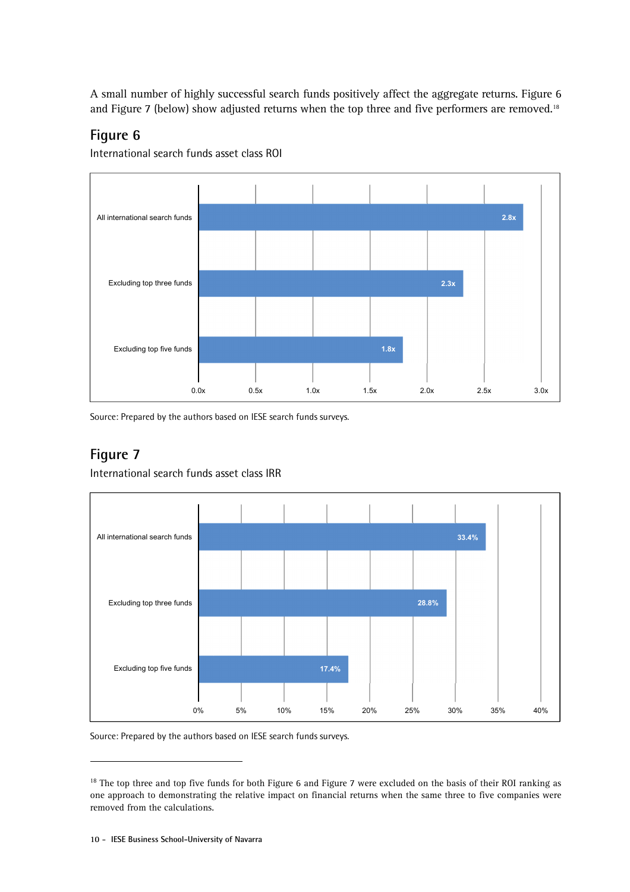A small number of highly successful search funds positively affect the aggregate returns. Figure 6 and Figure 7 (below) show adjusted returns when the top three and five performers are removed.<sup>18</sup>

### **Figure 6**

International search funds asset class ROI



Source: Prepared by the authors based on IESE search funds surveys.

### **Figure 7**

 $\overline{a}$ 

International search funds asset class IRR



<sup>&</sup>lt;sup>18</sup> The top three and top five funds for both Figure 6 and Figure 7 were excluded on the basis of their ROI ranking as one approach to demonstrating the relative impact on financial returns when the same three to five companies were removed from the calculations.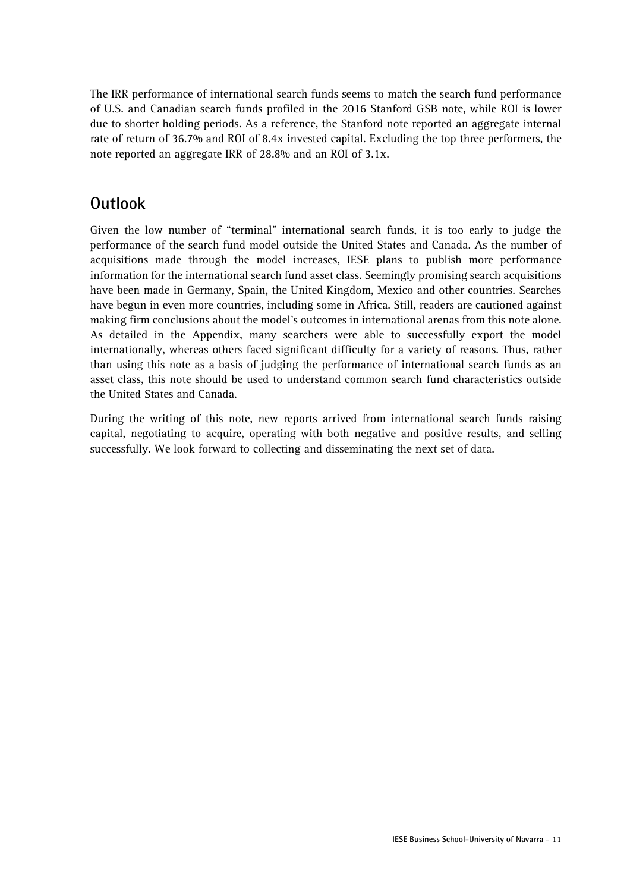The IRR performance of international search funds seems to match the search fund performance of U.S. and Canadian search funds profiled in the 2016 Stanford GSB note, while ROI is lower due to shorter holding periods. As a reference, the Stanford note reported an aggregate internal rate of return of 36.7% and ROI of 8.4x invested capital. Excluding the top three performers, the note reported an aggregate IRR of 28.8% and an ROI of 3.1x.

## **Outlook**

Given the low number of "terminal" international search funds, it is too early to judge the performance of the search fund model outside the United States and Canada. As the number of acquisitions made through the model increases, IESE plans to publish more performance information for the international search fund asset class. Seemingly promising search acquisitions have been made in Germany, Spain, the United Kingdom, Mexico and other countries. Searches have begun in even more countries, including some in Africa. Still, readers are cautioned against making firm conclusions about the model's outcomes in international arenas from this note alone. As detailed in the Appendix, many searchers were able to successfully export the model internationally, whereas others faced significant difficulty for a variety of reasons. Thus, rather than using this note as a basis of judging the performance of international search funds as an asset class, this note should be used to understand common search fund characteristics outside the United States and Canada.

During the writing of this note, new reports arrived from international search funds raising capital, negotiating to acquire, operating with both negative and positive results, and selling successfully. We look forward to collecting and disseminating the next set of data.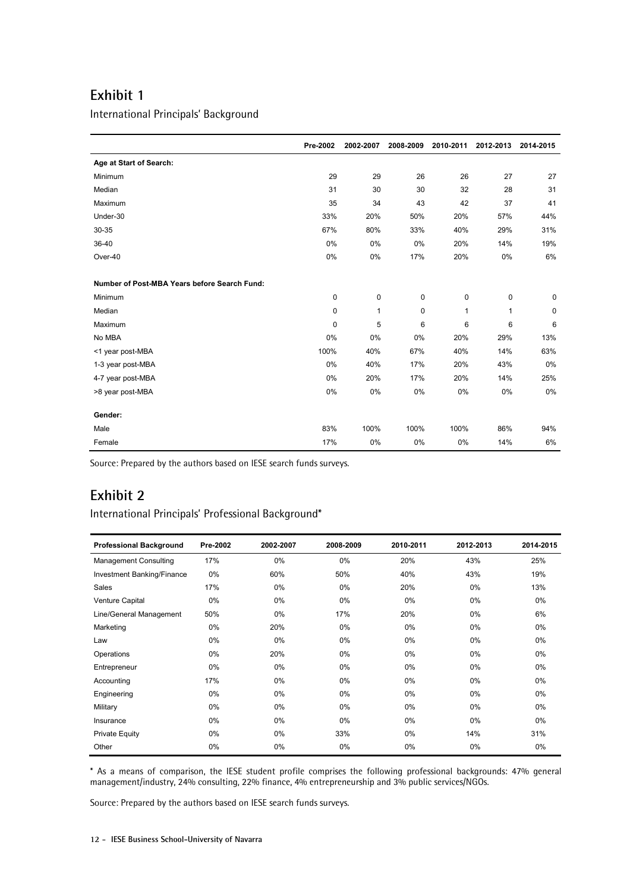International Principals' Background

|                                              | Pre-2002    | 2002-2007    | 2008-2009   | 2010-2011    | 2012-2013 | 2014-2015   |
|----------------------------------------------|-------------|--------------|-------------|--------------|-----------|-------------|
| Age at Start of Search:                      |             |              |             |              |           |             |
| Minimum                                      | 29          | 29           | 26          | 26           | 27        | 27          |
| Median                                       | 31          | 30           | 30          | 32           | 28        | 31          |
| Maximum                                      | 35          | 34           | 43          | 42           | 37        | 41          |
| Under-30                                     | 33%         | 20%          | 50%         | 20%          | 57%       | 44%         |
| 30-35                                        | 67%         | 80%          | 33%         | 40%          | 29%       | 31%         |
| 36-40                                        | 0%          | 0%           | 0%          | 20%          | 14%       | 19%         |
| Over-40                                      | 0%          | 0%           | 17%         | 20%          | 0%        | 6%          |
|                                              |             |              |             |              |           |             |
| Number of Post-MBA Years before Search Fund: |             |              |             |              |           |             |
| Minimum                                      | $\mathbf 0$ | $\mathbf 0$  | $\mathbf 0$ | 0            | 0         | $\mathbf 0$ |
| Median                                       | $\mathbf 0$ | $\mathbf{1}$ | 0           | $\mathbf{1}$ | 1         | 0           |
| Maximum                                      | $\mathbf 0$ | 5            | 6           | 6            | 6         | 6           |
| No MBA                                       | 0%          | 0%           | 0%          | 20%          | 29%       | 13%         |
| <1 year post-MBA                             | 100%        | 40%          | 67%         | 40%          | 14%       | 63%         |
| 1-3 year post-MBA                            | 0%          | 40%          | 17%         | 20%          | 43%       | 0%          |
| 4-7 year post-MBA                            | 0%          | 20%          | 17%         | 20%          | 14%       | 25%         |
| >8 year post-MBA                             | 0%          | 0%           | 0%          | 0%           | 0%        | 0%          |
|                                              |             |              |             |              |           |             |
| Gender:                                      |             |              |             |              |           |             |
| Male                                         | 83%         | 100%         | 100%        | 100%         | 86%       | 94%         |
| Female                                       | 17%         | 0%           | 0%          | 0%           | 14%       | 6%          |

Source: Prepared by the authors based on IESE search funds surveys.

### **Exhibit 2**

#### International Principals' Professional Background\*

| <b>Professional Background</b> | Pre-2002 | 2002-2007 | 2008-2009 | 2010-2011 | 2012-2013 | 2014-2015 |
|--------------------------------|----------|-----------|-----------|-----------|-----------|-----------|
| <b>Management Consulting</b>   | 17%      | 0%        | $0\%$     | 20%       | 43%       | 25%       |
| Investment Banking/Finance     | $0\%$    | 60%       | 50%       | 40%       | 43%       | 19%       |
| Sales                          | 17%      | $0\%$     | $0\%$     | 20%       | $0\%$     | 13%       |
| Venture Capital                | $0\%$    | $0\%$     | $0\%$     | $0\%$     | $0\%$     | $0\%$     |
| Line/General Management        | 50%      | $0\%$     | 17%       | 20%       | $0\%$     | 6%        |
| Marketing                      | $0\%$    | 20%       | 0%        | $0\%$     | $0\%$     | 0%        |
| Law                            | $0\%$    | $0\%$     | $0\%$     | $0\%$     | $0\%$     | 0%        |
| Operations                     | $0\%$    | 20%       | $0\%$     | $0\%$     | $0\%$     | $0\%$     |
| Entrepreneur                   | $0\%$    | $0\%$     | $0\%$     | $0\%$     | $0\%$     | 0%        |
| Accounting                     | 17%      | $0\%$     | $0\%$     | $0\%$     | $0\%$     | $0\%$     |
| Engineering                    | $0\%$    | $0\%$     | $0\%$     | $0\%$     | $0\%$     | 0%        |
| Military                       | $0\%$    | $0\%$     | $0\%$     | 0%        | $0\%$     | $0\%$     |
| Insurance                      | $0\%$    | $0\%$     | $0\%$     | $0\%$     | $0\%$     | 0%        |
| <b>Private Equity</b>          | $0\%$    | $0\%$     | 33%       | $0\%$     | 14%       | 31%       |
| Other                          | 0%       | 0%        | $0\%$     | 0%        | 0%        | $0\%$     |

\* As a means of comparison, the IESE student profile comprises the following professional backgrounds: 47% general management/industry, 24% consulting, 22% finance, 4% entrepreneurship and 3% public services/NGOs.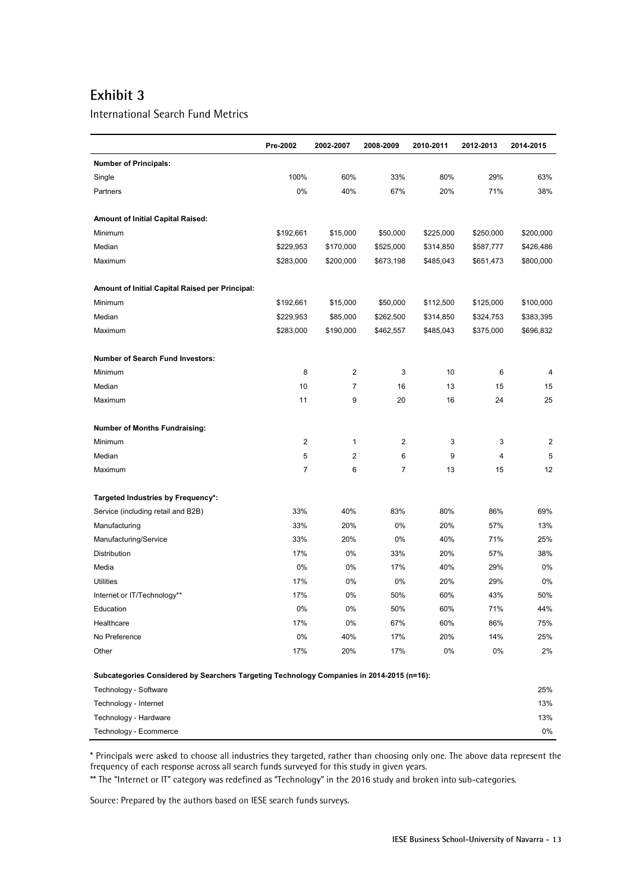International Search Fund Metrics

|                                                                                           | Pre-2002  | 2002-2007 | 2008-2009 | 2010-2011 | 2012-2013 | 2014-2015      |
|-------------------------------------------------------------------------------------------|-----------|-----------|-----------|-----------|-----------|----------------|
| <b>Number of Principals:</b>                                                              |           |           |           |           |           |                |
| Single                                                                                    | 100%      | 60%       | 33%       | 80%       | 29%       | 63%            |
| Partners                                                                                  | 0%        | 40%       | 67%       | 20%       | 71%       | 38%            |
|                                                                                           |           |           |           |           |           |                |
| <b>Amount of Initial Capital Raised:</b>                                                  |           |           |           |           |           |                |
| Minimum                                                                                   | \$192,661 | \$15,000  | \$50,000  | \$225,000 | \$250,000 | \$200,000      |
| Median                                                                                    | \$229,953 | \$170,000 | \$525,000 | \$314,850 | \$587,777 | \$426,486      |
| Maximum                                                                                   | \$283,000 | \$200,000 | \$673,198 | \$485,043 | \$651,473 | \$800,000      |
|                                                                                           |           |           |           |           |           |                |
| Amount of Initial Capital Raised per Principal:                                           |           |           |           |           |           |                |
| Minimum                                                                                   | \$192,661 | \$15,000  | \$50,000  | \$112,500 | \$125,000 | \$100,000      |
| Median                                                                                    | \$229,953 | \$85,000  | \$262,500 | \$314,850 | \$324,753 | \$383,395      |
| Maximum                                                                                   | \$283,000 | \$190,000 | \$462,557 | \$485,043 | \$375,000 | \$696,832      |
|                                                                                           |           |           |           |           |           |                |
| Number of Search Fund Investors:                                                          |           |           |           |           |           |                |
| Minimum                                                                                   | 8         | 2         | 3         | 10        | 6         | 4              |
| Median                                                                                    | 10        | 7         | 16        | 13        | 15        | 15             |
| Maximum                                                                                   | 11        | 9         | 20        | 16        | 24        | 25             |
|                                                                                           |           |           |           |           |           |                |
| <b>Number of Months Fundraising:</b>                                                      |           |           |           |           |           |                |
| Minimum                                                                                   | 2         | 1         | 2         | 3         | 3         | $\overline{2}$ |
| Median                                                                                    | 5         | 2         | 6         | 9         | 4         | 5              |
| Maximum                                                                                   | 7         | 6         | 7         | 13        | 15        | 12             |
|                                                                                           |           |           |           |           |           |                |
| Targeted Industries by Frequency*:                                                        |           |           |           |           |           |                |
| Service (including retail and B2B)                                                        | 33%       | 40%       | 83%       | 80%       | 86%       | 69%            |
| Manufacturing                                                                             | 33%       | 20%       | 0%        | 20%       | 57%       | 13%            |
| Manufacturing/Service                                                                     | 33%       | 20%       | 0%        | 40%       | 71%       | 25%            |
| Distribution                                                                              | 17%       | 0%        | 33%       | 20%       | 57%       | 38%            |
| Media                                                                                     | 0%        | 0%        | 17%       | 40%       | 29%       | 0%             |
| <b>Utilities</b>                                                                          | 17%       | 0%        | 0%        | 20%       | 29%       | 0%             |
| Internet or IT/Technology**                                                               | 17%       | 0%        | 50%       | 60%       | 43%       | 50%            |
| Education                                                                                 | 0%        | 0%        | 50%       | 60%       | 71%       | 44%            |
| Healthcare                                                                                | 17%       | 0%        | 67%       | 60%       | 86%       | 75%            |
| No Preference                                                                             | 0%        | 40%       | 17%       | 20%       | 14%       | 25%            |
| Other                                                                                     | 17%       | 20%       | 17%       | 0%        | $0\%$     | 2%             |
| Subcategories Considered by Searchers Targeting Technology Companies in 2014-2015 (n=16): |           |           |           |           |           |                |
| Technology - Software                                                                     |           |           |           |           |           | 25%            |
| Technology - Internet                                                                     |           |           |           |           |           | 13%            |
| Technology - Hardware                                                                     |           |           |           |           |           | 13%            |
| Technology - Ecommerce                                                                    |           |           |           |           |           | 0%             |

\* Principals were asked to choose all industries they targeted, rather than choosing only one. The above data represent the frequency of each response across all search funds surveyed for this study in given years.

\*\* The "Internet or IT" category was redefined as "Technology" in the 2016 study and broken into sub-categories.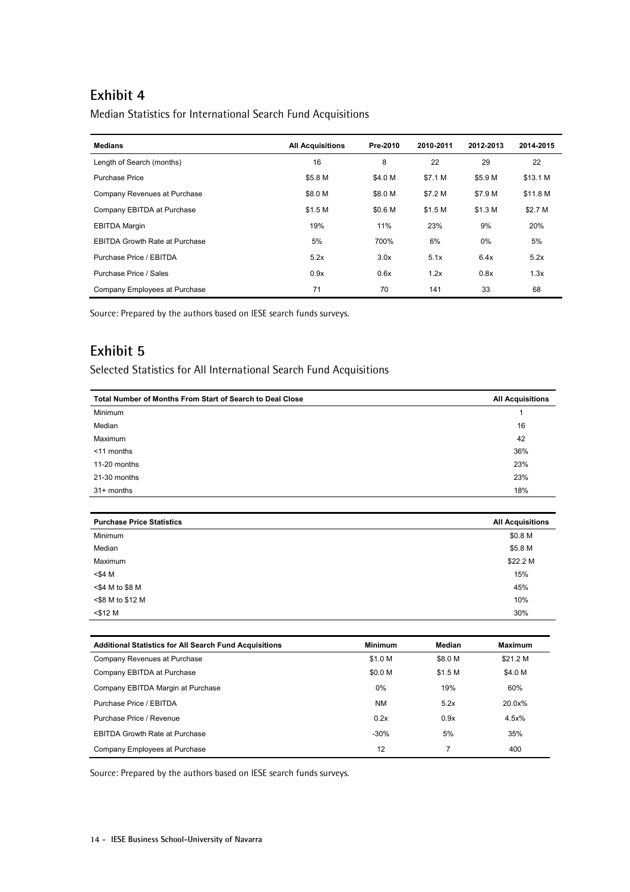Median Statistics for International Search Fund Acquisitions

| <b>Medians</b>                        | <b>All Acquisitions</b> | Pre-2010 | 2010-2011 | 2012-2013 | 2014-2015 |
|---------------------------------------|-------------------------|----------|-----------|-----------|-----------|
| Length of Search (months)             | 16                      | 8        | 22        | 29        | 22        |
| <b>Purchase Price</b>                 | \$5.8 M                 | \$4.0 M  | \$7.1 M   | \$5.9 M   | \$13.1 M  |
| Company Revenues at Purchase          | \$8.0 M                 | \$8.0 M  | \$7.2 M   | \$7.9 M   | \$11.8 M  |
| Company EBITDA at Purchase            | \$1.5 M                 | \$0.6 M  | \$1.5 M   | \$1.3 M   | \$2.7 M   |
| <b>EBITDA Margin</b>                  | 19%                     | 11%      | 23%       | 9%        | 20%       |
| <b>EBITDA Growth Rate at Purchase</b> | 5%                      | 700%     | 6%        | $0\%$     | 5%        |
| Purchase Price / EBITDA               | 5.2x                    | 3.0x     | 5.1x      | 6.4x      | 5.2x      |
| Purchase Price / Sales                | 0.9x                    | 0.6x     | 1.2x      | 0.8x      | 1.3x      |
| Company Employees at Purchase         | 71                      | 70       | 141       | 33        | 68        |

Source: Prepared by the authors based on IESE search funds surveys.

### **Exhibit 5**

Selected Statistics for All International Search Fund Acquisitions

| Total Number of Months From Start of Search to Deal Close | <b>All Acquisitions</b> |
|-----------------------------------------------------------|-------------------------|
| Minimum                                                   |                         |
| Median                                                    | 16                      |
| Maximum                                                   | 42                      |
| <11 months                                                | 36%                     |
| 11-20 months                                              | 23%                     |
| 21-30 months                                              | 23%                     |
| $31+$ months                                              | 18%                     |

| <b>Purchase Price Statistics</b> | <b>All Acquisitions</b> |
|----------------------------------|-------------------------|
| Minimum                          | \$0.8 M                 |
| Median                           | \$5.8 M                 |
| Maximum                          | \$22.2 M                |
| $<$ \$4 M                        | 15%                     |
| <\$4 M to \$8 M                  | 45%                     |
| <\$8 M to \$12 M                 | 10%                     |
| $<$ \$12 M                       | 30%                     |

| <b>Additional Statistics for All Search Fund Acquisitions</b> | <b>Minimum</b> | Median  | <b>Maximum</b> |
|---------------------------------------------------------------|----------------|---------|----------------|
| Company Revenues at Purchase                                  | \$1.0 M        | \$8.0 M | \$21.2 M       |
| Company EBITDA at Purchase                                    | \$0.0 M        | \$1.5 M | \$4.0 M        |
| Company EBITDA Margin at Purchase                             | $0\%$          | 19%     | 60%            |
| Purchase Price / EBITDA                                       | <b>NM</b>      | 5.2x    | 20.0x%         |
| Purchase Price / Revenue                                      | 0.2x           | 0.9x    | 4.5x%          |
| <b>EBITDA Growth Rate at Purchase</b>                         | $-30%$         | 5%      | 35%            |
| Company Employees at Purchase                                 | 12             |         | 400            |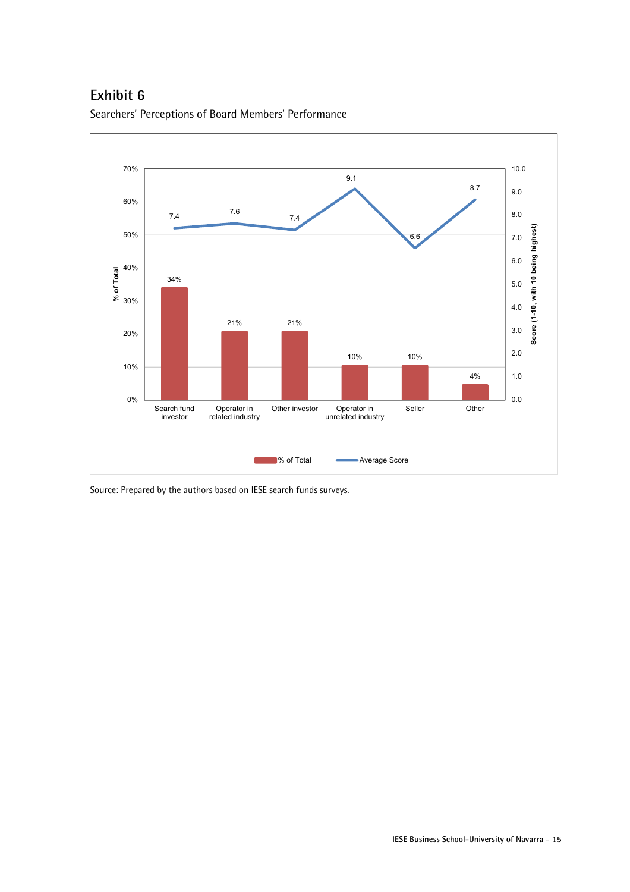Searchers' Perceptions of Board Members' Performance

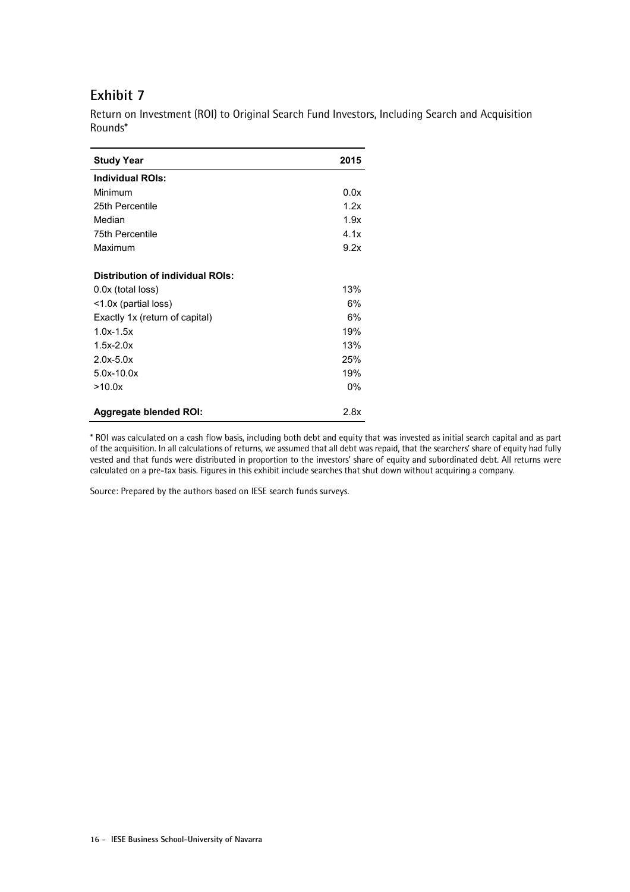| <b>Study Year</b>                       | 2015 |
|-----------------------------------------|------|
| <b>Individual ROIs:</b>                 |      |
| Minimum                                 | 0.0x |
| 25th Percentile                         | 1.2x |
| Median                                  | 1.9x |
| 75th Percentile                         | 4.1x |
| Maximum                                 | 9.2x |
| <b>Distribution of individual ROIs:</b> |      |
| 0.0x (total loss)                       | 13%  |
| <1.0x (partial loss)                    | 6%   |
| Exactly 1x (return of capital)          | 6%   |
| $1.0x - 1.5x$                           | 19%  |
| $1.5x - 2.0x$                           | 13%  |
| $2.0x - 5.0x$                           | 25%  |
| $5.0x - 10.0x$                          | 19%  |
| >10.0x                                  | 0%   |
| <b>Aggregate blended ROI:</b>           | 2.8x |

Return on Investment (ROI) to Original Search Fund Investors, Including Search and Acquisition Rounds\*

\* ROI was calculated on a cash flow basis, including both debt and equity that was invested as initial search capital and as part of the acquisition. In all calculations of returns, we assumed that all debt was repaid, that the searchers' share of equity had fully vested and that funds were distributed in proportion to the investors' share of equity and subordinated debt. All returns were calculated on a pre-tax basis. Figures in this exhibit include searches that shut down without acquiring a company.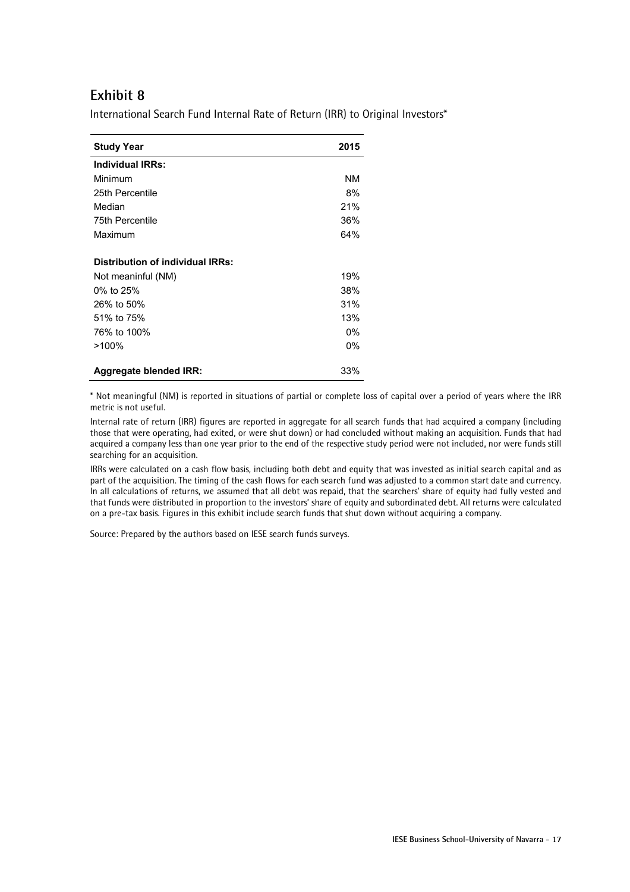International Search Fund Internal Rate of Return (IRR) to Original Investors\*

| <b>Study Year</b>                | 2015  |
|----------------------------------|-------|
| <b>Individual IRRs:</b>          |       |
| Minimum                          | NM    |
| 25th Percentile                  | 8%    |
| Median                           | 21%   |
| 75th Percentile                  | 36%   |
| Maximum                          | 64%   |
| Distribution of individual IRRs: |       |
| Not meaninful (NM)               | 19%   |
| 0% to 25%                        | 38%   |
| 26% to 50%                       | 31%   |
| 51% to 75%                       | 13%   |
| 76% to 100%                      | $0\%$ |
| $>100\%$                         | $0\%$ |
| <b>Aggregate blended IRR:</b>    | 33%   |

\* Not meaningful (NM) is reported in situations of partial or complete loss of capital over a period of years where the IRR metric is not useful.

Internal rate of return (IRR) figures are reported in aggregate for all search funds that had acquired a company (including those that were operating, had exited, or were shut down) or had concluded without making an acquisition. Funds that had acquired a company less than one year prior to the end of the respective study period were not included, nor were funds still searching for an acquisition.

IRRs were calculated on a cash flow basis, including both debt and equity that was invested as initial search capital and as part of the acquisition. The timing of the cash flows for each search fund was adjusted to a common start date and currency. In all calculations of returns, we assumed that all debt was repaid, that the searchers' share of equity had fully vested and that funds were distributed in proportion to the investors' share of equity and subordinated debt. All returns were calculated on a pre-tax basis. Figures in this exhibit include search funds that shut down without acquiring a company.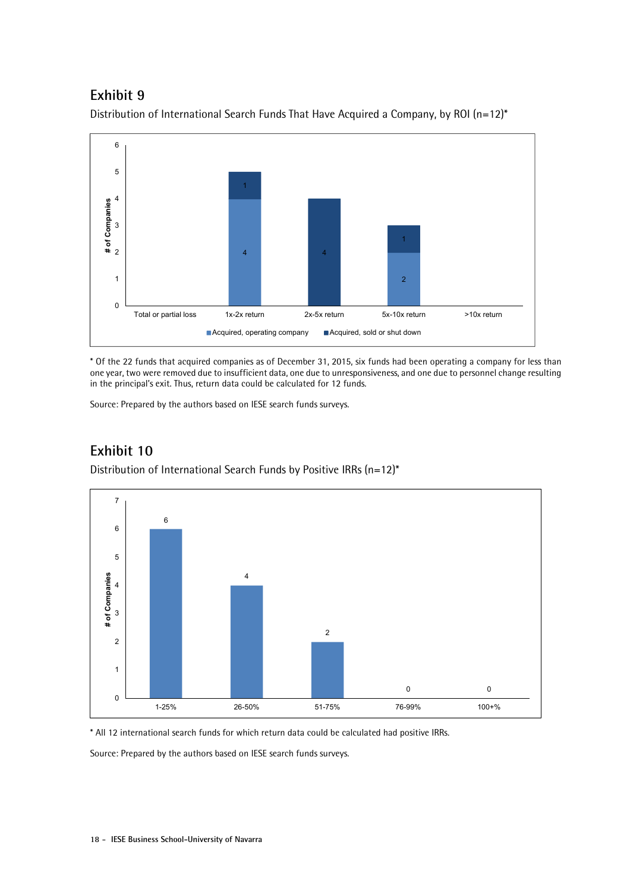

Distribution of International Search Funds That Have Acquired a Company, by ROI (n=12)\*

\* Of the 22 funds that acquired companies as of December 31, 2015, six funds had been operating a company for less than one year, two were removed due to insufficient data, one due to unresponsiveness, and one due to personnel change resulting in the principal's exit. Thus, return data could be calculated for 12 funds.

Source: Prepared by the authors based on IESE search funds surveys.



## **Exhibit 10**

Distribution of International Search Funds by Positive IRRs (n=12)\*

\* All 12 international search funds for which return data could be calculated had positive IRRs.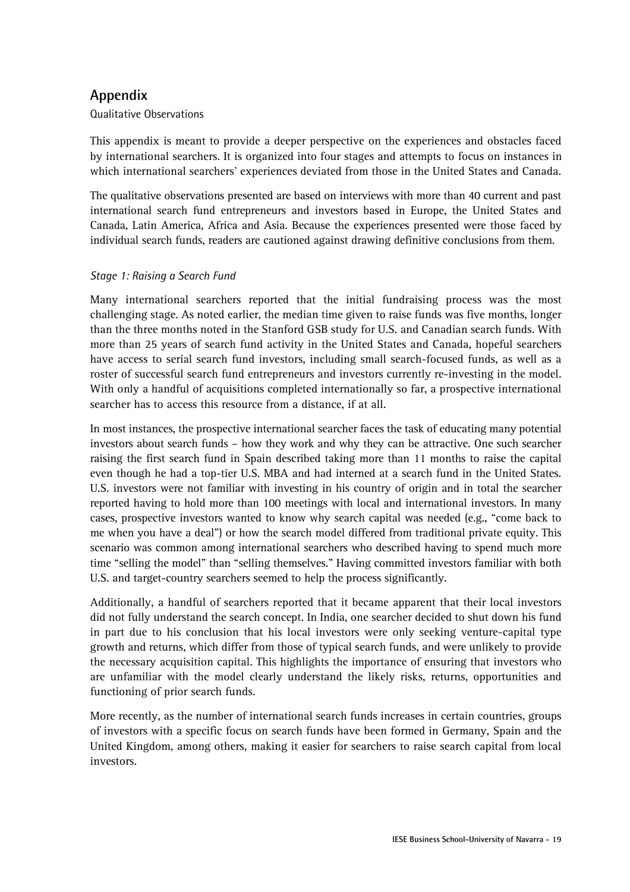### **Appendix**

#### Qualitative Observations

This appendix is meant to provide a deeper perspective on the experiences and obstacles faced by international searchers. It is organized into four stages and attempts to focus on instances in which international searchers' experiences deviated from those in the United States and Canada.

The qualitative observations presented are based on interviews with more than 40 current and past international search fund entrepreneurs and investors based in Europe, the United States and Canada, Latin America, Africa and Asia. Because the experiences presented were those faced by individual search funds, readers are cautioned against drawing definitive conclusions from them.

#### *Stage 1: Raising a Search Fund*

Many international searchers reported that the initial fundraising process was the most challenging stage. As noted earlier, the median time given to raise funds was five months, longer than the three months noted in the Stanford GSB study for U.S. and Canadian search funds. With more than 25 years of search fund activity in the United States and Canada, hopeful searchers have access to serial search fund investors, including small search-focused funds, as well as a roster of successful search fund entrepreneurs and investors currently re-investing in the model. With only a handful of acquisitions completed internationally so far, a prospective international searcher has to access this resource from a distance, if at all.

In most instances, the prospective international searcher faces the task of educating many potential investors about search funds – how they work and why they can be attractive. One such searcher raising the first search fund in Spain described taking more than 11 months to raise the capital even though he had a top-tier U.S. MBA and had interned at a search fund in the United States. U.S. investors were not familiar with investing in his country of origin and in total the searcher reported having to hold more than 100 meetings with local and international investors. In many cases, prospective investors wanted to know why search capital was needed (e.g., "come back to me when you have a deal") or how the search model differed from traditional private equity. This scenario was common among international searchers who described having to spend much more time "selling the model" than "selling themselves." Having committed investors familiar with both U.S. and target-country searchers seemed to help the process significantly.

Additionally, a handful of searchers reported that it became apparent that their local investors did not fully understand the search concept. In India, one searcher decided to shut down his fund in part due to his conclusion that his local investors were only seeking venture-capital type growth and returns, which differ from those of typical search funds, and were unlikely to provide the necessary acquisition capital. This highlights the importance of ensuring that investors who are unfamiliar with the model clearly understand the likely risks, returns, opportunities and functioning of prior search funds.

More recently, as the number of international search funds increases in certain countries, groups of investors with a specific focus on search funds have been formed in Germany, Spain and the United Kingdom, among others, making it easier for searchers to raise search capital from local investors.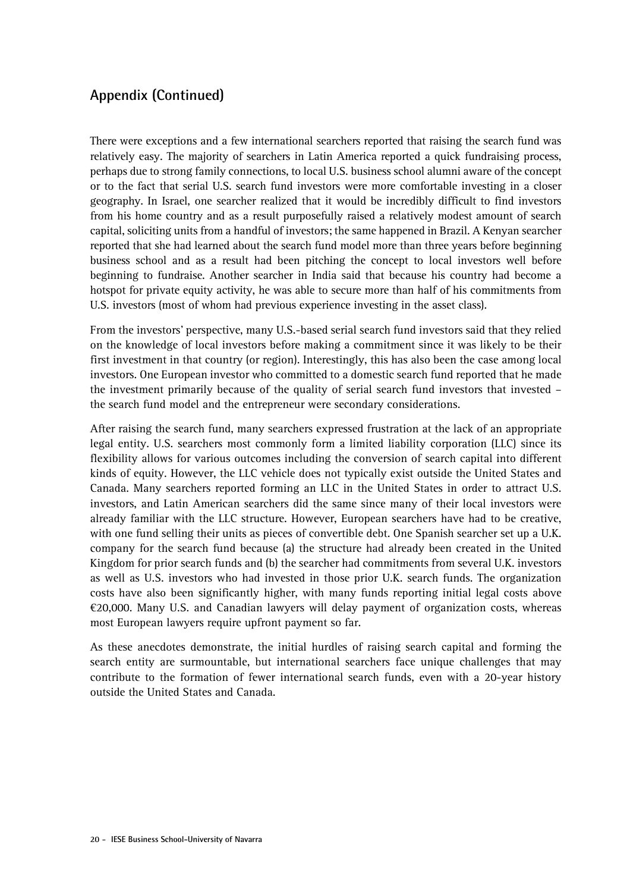There were exceptions and a few international searchers reported that raising the search fund was relatively easy. The majority of searchers in Latin America reported a quick fundraising process, perhaps due to strong family connections, to local U.S. business school alumni aware of the concept or to the fact that serial U.S. search fund investors were more comfortable investing in a closer geography. In Israel, one searcher realized that it would be incredibly difficult to find investors from his home country and as a result purposefully raised a relatively modest amount of search capital, soliciting units from a handful of investors; the same happened in Brazil. A Kenyan searcher reported that she had learned about the search fund model more than three years before beginning business school and as a result had been pitching the concept to local investors well before beginning to fundraise. Another searcher in India said that because his country had become a hotspot for private equity activity, he was able to secure more than half of his commitments from U.S. investors (most of whom had previous experience investing in the asset class).

From the investors' perspective, many U.S.-based serial search fund investors said that they relied on the knowledge of local investors before making a commitment since it was likely to be their first investment in that country (or region). Interestingly, this has also been the case among local investors. One European investor who committed to a domestic search fund reported that he made the investment primarily because of the quality of serial search fund investors that invested – the search fund model and the entrepreneur were secondary considerations.

After raising the search fund, many searchers expressed frustration at the lack of an appropriate legal entity. U.S. searchers most commonly form a limited liability corporation (LLC) since its flexibility allows for various outcomes including the conversion of search capital into different kinds of equity. However, the LLC vehicle does not typically exist outside the United States and Canada. Many searchers reported forming an LLC in the United States in order to attract U.S. investors, and Latin American searchers did the same since many of their local investors were already familiar with the LLC structure. However, European searchers have had to be creative, with one fund selling their units as pieces of convertible debt. One Spanish searcher set up a U.K. company for the search fund because (a) the structure had already been created in the United Kingdom for prior search funds and (b) the searcher had commitments from several U.K. investors as well as U.S. investors who had invested in those prior U.K. search funds. The organization costs have also been significantly higher, with many funds reporting initial legal costs above €20,000. Many U.S. and Canadian lawyers will delay payment of organization costs, whereas most European lawyers require upfront payment so far.

As these anecdotes demonstrate, the initial hurdles of raising search capital and forming the search entity are surmountable, but international searchers face unique challenges that may contribute to the formation of fewer international search funds, even with a 20-year history outside the United States and Canada.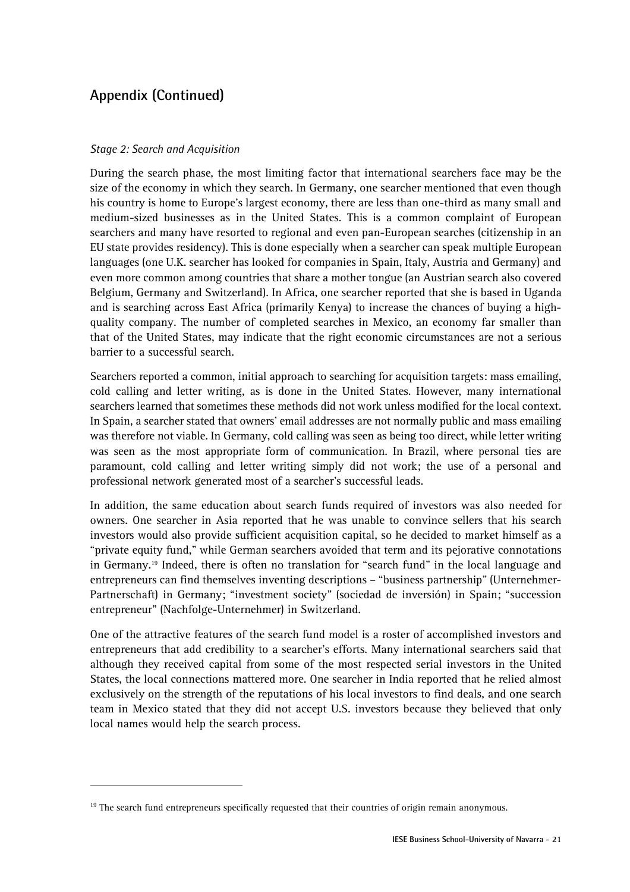#### *Stage 2: Search and Acquisition*

 $\overline{a}$ 

During the search phase, the most limiting factor that international searchers face may be the size of the economy in which they search. In Germany, one searcher mentioned that even though his country is home to Europe's largest economy, there are less than one-third as many small and medium-sized businesses as in the United States. This is a common complaint of European searchers and many have resorted to regional and even pan-European searches (citizenship in an EU state provides residency). This is done especially when a searcher can speak multiple European languages (one U.K. searcher has looked for companies in Spain, Italy, Austria and Germany) and even more common among countries that share a mother tongue (an Austrian search also covered Belgium, Germany and Switzerland). In Africa, one searcher reported that she is based in Uganda and is searching across East Africa (primarily Kenya) to increase the chances of buying a highquality company. The number of completed searches in Mexico, an economy far smaller than that of the United States, may indicate that the right economic circumstances are not a serious barrier to a successful search.

Searchers reported a common, initial approach to searching for acquisition targets: mass emailing, cold calling and letter writing, as is done in the United States. However, many international searchers learned that sometimes these methods did not work unless modified for the local context. In Spain, a searcher stated that owners' email addresses are not normally public and mass emailing was therefore not viable. In Germany, cold calling was seen as being too direct, while letter writing was seen as the most appropriate form of communication. In Brazil, where personal ties are paramount, cold calling and letter writing simply did not work; the use of a personal and professional network generated most of a searcher's successful leads.

In addition, the same education about search funds required of investors was also needed for owners. One searcher in Asia reported that he was unable to convince sellers that his search investors would also provide sufficient acquisition capital, so he decided to market himself as a "private equity fund," while German searchers avoided that term and its pejorative connotations in Germany.19 Indeed, there is often no translation for "search fund" in the local language and entrepreneurs can find themselves inventing descriptions – "business partnership" (Unternehmer-Partnerschaft) in Germany; "investment society" (sociedad de inversión) in Spain; "succession entrepreneur" (Nachfolge-Unternehmer) in Switzerland.

One of the attractive features of the search fund model is a roster of accomplished investors and entrepreneurs that add credibility to a searcher's efforts. Many international searchers said that although they received capital from some of the most respected serial investors in the United States, the local connections mattered more. One searcher in India reported that he relied almost exclusively on the strength of the reputations of his local investors to find deals, and one search team in Mexico stated that they did not accept U.S. investors because they believed that only local names would help the search process.

<sup>&</sup>lt;sup>19</sup> The search fund entrepreneurs specifically requested that their countries of origin remain anonymous.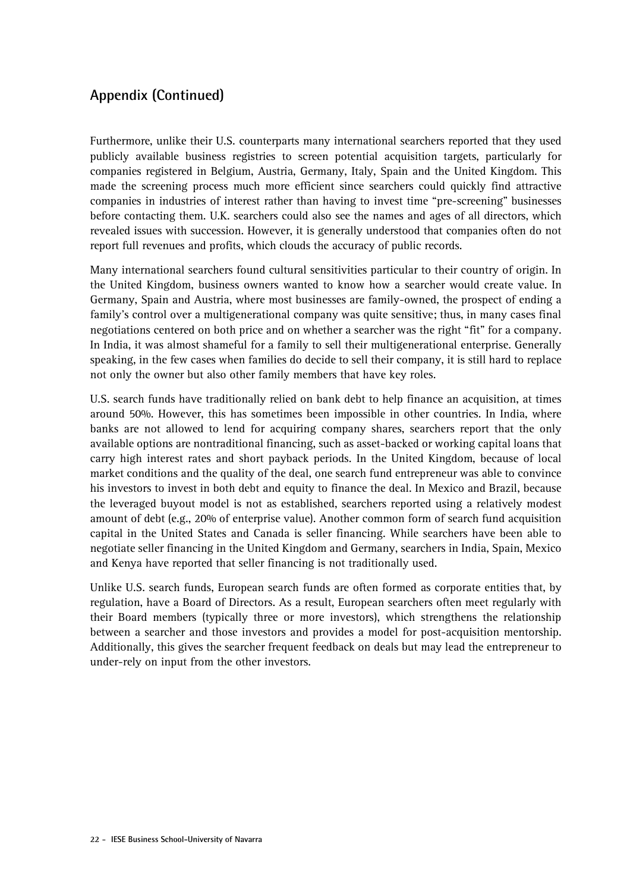Furthermore, unlike their U.S. counterparts many international searchers reported that they used publicly available business registries to screen potential acquisition targets, particularly for companies registered in Belgium, Austria, Germany, Italy, Spain and the United Kingdom. This made the screening process much more efficient since searchers could quickly find attractive companies in industries of interest rather than having to invest time "pre-screening" businesses before contacting them. U.K. searchers could also see the names and ages of all directors, which revealed issues with succession. However, it is generally understood that companies often do not report full revenues and profits, which clouds the accuracy of public records.

Many international searchers found cultural sensitivities particular to their country of origin. In the United Kingdom, business owners wanted to know how a searcher would create value. In Germany, Spain and Austria, where most businesses are family-owned, the prospect of ending a family's control over a multigenerational company was quite sensitive; thus, in many cases final negotiations centered on both price and on whether a searcher was the right "fit" for a company. In India, it was almost shameful for a family to sell their multigenerational enterprise. Generally speaking, in the few cases when families do decide to sell their company, it is still hard to replace not only the owner but also other family members that have key roles.

U.S. search funds have traditionally relied on bank debt to help finance an acquisition, at times around 50%. However, this has sometimes been impossible in other countries. In India, where banks are not allowed to lend for acquiring company shares, searchers report that the only available options are nontraditional financing, such as asset-backed or working capital loans that carry high interest rates and short payback periods. In the United Kingdom, because of local market conditions and the quality of the deal, one search fund entrepreneur was able to convince his investors to invest in both debt and equity to finance the deal. In Mexico and Brazil, because the leveraged buyout model is not as established, searchers reported using a relatively modest amount of debt (e.g., 20% of enterprise value). Another common form of search fund acquisition capital in the United States and Canada is seller financing. While searchers have been able to negotiate seller financing in the United Kingdom and Germany, searchers in India, Spain, Mexico and Kenya have reported that seller financing is not traditionally used.

Unlike U.S. search funds, European search funds are often formed as corporate entities that, by regulation, have a Board of Directors. As a result, European searchers often meet regularly with their Board members (typically three or more investors), which strengthens the relationship between a searcher and those investors and provides a model for post-acquisition mentorship. Additionally, this gives the searcher frequent feedback on deals but may lead the entrepreneur to under-rely on input from the other investors.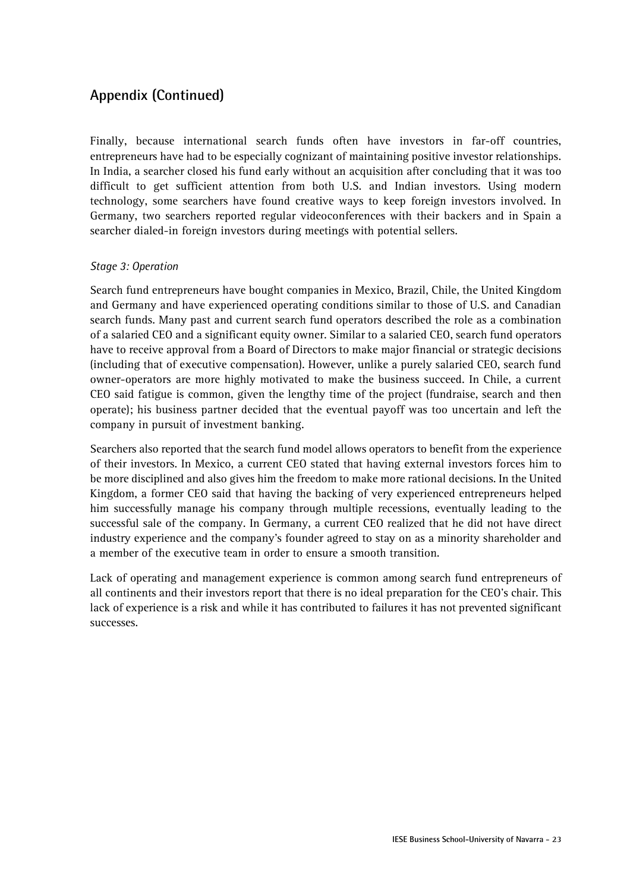Finally, because international search funds often have investors in far-off countries, entrepreneurs have had to be especially cognizant of maintaining positive investor relationships. In India, a searcher closed his fund early without an acquisition after concluding that it was too difficult to get sufficient attention from both U.S. and Indian investors. Using modern technology, some searchers have found creative ways to keep foreign investors involved. In Germany, two searchers reported regular videoconferences with their backers and in Spain a searcher dialed-in foreign investors during meetings with potential sellers.

#### *Stage 3: Operation*

Search fund entrepreneurs have bought companies in Mexico, Brazil, Chile, the United Kingdom and Germany and have experienced operating conditions similar to those of U.S. and Canadian search funds. Many past and current search fund operators described the role as a combination of a salaried CEO and a significant equity owner. Similar to a salaried CEO, search fund operators have to receive approval from a Board of Directors to make major financial or strategic decisions (including that of executive compensation). However, unlike a purely salaried CEO, search fund owner-operators are more highly motivated to make the business succeed. In Chile, a current CEO said fatigue is common, given the lengthy time of the project (fundraise, search and then operate); his business partner decided that the eventual payoff was too uncertain and left the company in pursuit of investment banking.

Searchers also reported that the search fund model allows operators to benefit from the experience of their investors. In Mexico, a current CEO stated that having external investors forces him to be more disciplined and also gives him the freedom to make more rational decisions. In the United Kingdom, a former CEO said that having the backing of very experienced entrepreneurs helped him successfully manage his company through multiple recessions, eventually leading to the successful sale of the company. In Germany, a current CEO realized that he did not have direct industry experience and the company's founder agreed to stay on as a minority shareholder and a member of the executive team in order to ensure a smooth transition.

Lack of operating and management experience is common among search fund entrepreneurs of all continents and their investors report that there is no ideal preparation for the CEO's chair. This lack of experience is a risk and while it has contributed to failures it has not prevented significant successes.